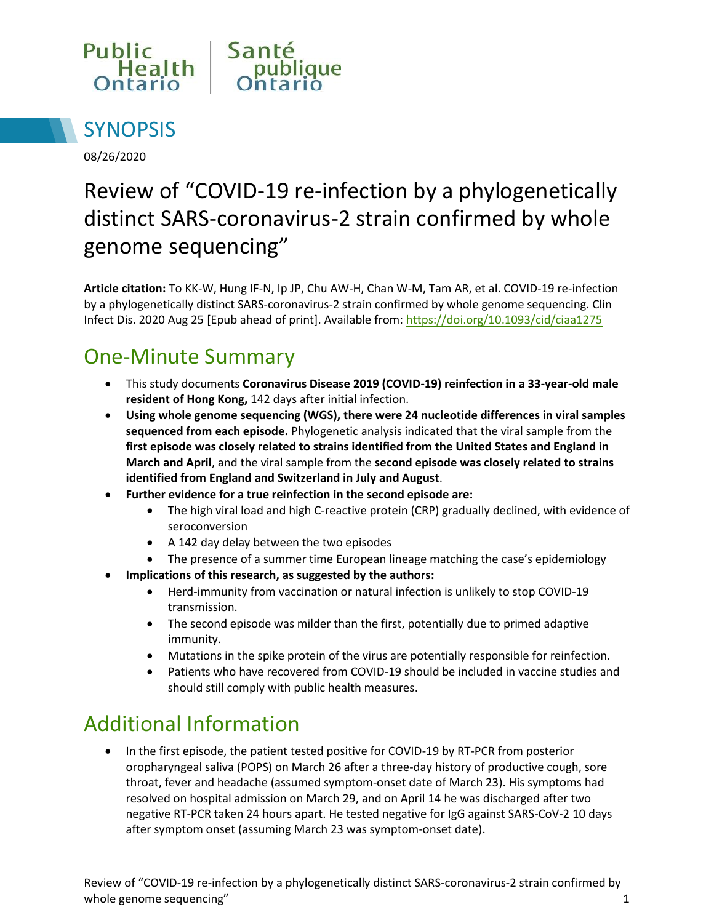



08/26/2020

# Review of "COVID-19 re-infection by a phylogenetically distinct SARS-coronavirus-2 strain confirmed by whole genome sequencing"

**Article citation:** To KK-W, Hung IF-N, Ip JP, Chu AW-H, Chan W-M, Tam AR, et al. COVID-19 re-infection by a phylogenetically distinct SARS-coronavirus-2 strain confirmed by whole genome sequencing. Clin Infect Dis. 2020 Aug 25 [Epub ahead of print]. Available from: https://doi.org/10.1093/cid/ciaa1275

### One-Minute Summary

- This study documents **Coronavirus Disease 2019 (COVID-19) reinfection in a 33-year-old male resident of Hong Kong,** 142 days after initial infection.
- **Using whole genome sequencing (WGS), there were 24 nucleotide differences in viral samples sequenced from each episode.** Phylogenetic analysis indicated that the viral sample from the **first episode was closely related to strains identified from the United States and England in March and April**, and the viral sample from the **second episode was closely related to strains identified from England and Switzerland in July and August**.
- **Further evidence for a true reinfection in the second episode are:** 
	- The high viral load and high C-reactive protein (CRP) gradually declined, with evidence of seroconversion
	- A 142 day delay between the two episodes
	- The presence of a summer time European lineage matching the case's epidemiology
- **Implications of this research, as suggested by the authors:**
	- Herd-immunity from vaccination or natural infection is unlikely to stop COVID-19 transmission.
	- The second episode was milder than the first, potentially due to primed adaptive immunity.
	- Mutations in the spike protein of the virus are potentially responsible for reinfection.
	- Patients who have recovered from COVID-19 should be included in vaccine studies and should still comply with public health measures.

## Additional Information

• In the first episode, the patient tested positive for COVID-19 by RT-PCR from posterior oropharyngeal saliva (POPS) on March 26 after a three-day history of productive cough, sore throat, fever and headache (assumed symptom-onset date of March 23). His symptoms had resolved on hospital admission on March 29, and on April 14 he was discharged after two negative RT-PCR taken 24 hours apart. He tested negative for IgG against SARS-CoV-2 10 days after symptom onset (assuming March 23 was symptom-onset date).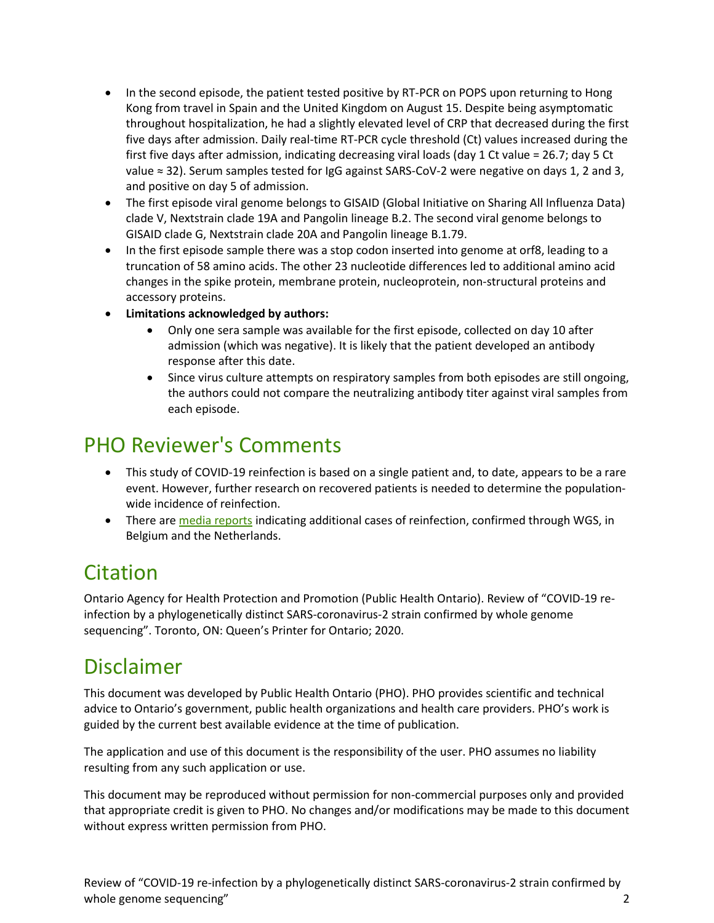- In the second episode, the patient tested positive by RT-PCR on POPS upon returning to Hong Kong from travel in Spain and the United Kingdom on August 15. Despite being asymptomatic throughout hospitalization, he had a slightly elevated level of CRP that decreased during the first five days after admission. Daily real-time RT-PCR cycle threshold (Ct) values increased during the first five days after admission, indicating decreasing viral loads (day 1 Ct value = 26.7; day 5 Ct value ≈ 32). Serum samples tested for IgG against SARS-CoV-2 were negative on days 1, 2 and 3, and positive on day 5 of admission.
- The first episode viral genome belongs to GISAID (Global Initiative on Sharing All Influenza Data) clade V, Nextstrain clade 19A and Pangolin lineage B.2. The second viral genome belongs to GISAID clade G, Nextstrain clade 20A and Pangolin lineage B.1.79.
- In the first episode sample there was a stop codon inserted into genome at orf8, leading to a truncation of 58 amino acids. The other 23 nucleotide differences led to additional amino acid changes in the spike protein, membrane protein, nucleoprotein, non-structural proteins and accessory proteins.
- **Limitations acknowledged by authors:**
	- Only one sera sample was available for the first episode, collected on day 10 after admission (which was negative). It is likely that the patient developed an antibody response after this date.
	- Since virus culture attempts on respiratory samples from both episodes are still ongoing, the authors could not compare the neutralizing antibody titer against viral samples from each episode.

#### PHO Reviewer's Comments

- This study of COVID-19 reinfection is based on a single patient and, to date, appears to be a rare event. However, further research on recovered patients is needed to determine the populationwide incidence of reinfection.
- There ar[e media reports](https://www.independent.co.uk/news/health/coronavirus-reinfection-netherlands-belgium-hong-kong-covid-19-update-a9687301.html) indicating additional cases of reinfection, confirmed through WGS, in Belgium and the Netherlands.

#### Citation

Ontario Agency for Health Protection and Promotion (Public Health Ontario). Review of "COVID-19 reinfection by a phylogenetically distinct SARS-coronavirus-2 strain confirmed by whole genome sequencing". Toronto, ON: Queen's Printer for Ontario; 2020.

#### Disclaimer

This document was developed by Public Health Ontario (PHO). PHO provides scientific and technical advice to Ontario's government, public health organizations and health care providers. PHO's work is guided by the current best available evidence at the time of publication.

The application and use of this document is the responsibility of the user. PHO assumes no liability resulting from any such application or use.

This document may be reproduced without permission for non-commercial purposes only and provided that appropriate credit is given to PHO. No changes and/or modifications may be made to this document without express written permission from PHO.